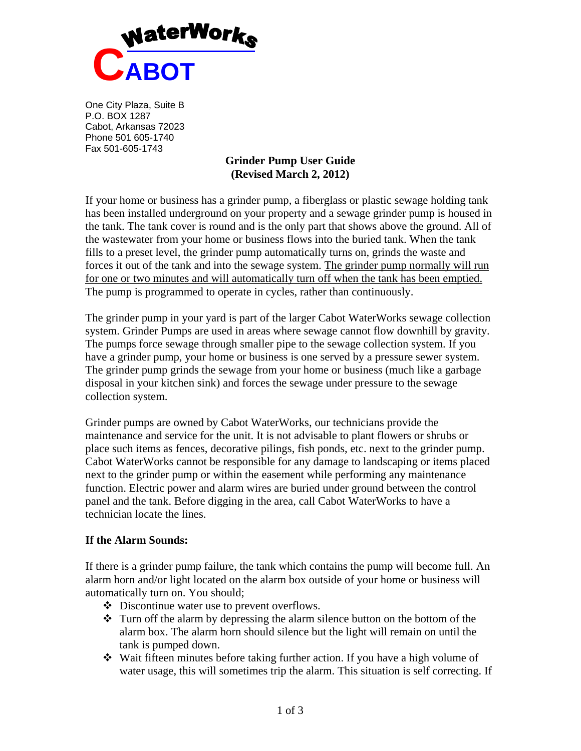

One City Plaza, Suite B P.O. BOX 1287 Cabot, Arkansas 72023 Phone 501 605-1740 Fax 501-605-1743

## **Grinder Pump User Guide (Revised March 2, 2012)**

If your home or business has a grinder pump, a fiberglass or plastic sewage holding tank has been installed underground on your property and a sewage grinder pump is housed in the tank. The tank cover is round and is the only part that shows above the ground. All of the wastewater from your home or business flows into the buried tank. When the tank fills to a preset level, the grinder pump automatically turns on, grinds the waste and forces it out of the tank and into the sewage system. The grinder pump normally will run for one or two minutes and will automatically turn off when the tank has been emptied. The pump is programmed to operate in cycles, rather than continuously.

The grinder pump in your yard is part of the larger Cabot WaterWorks sewage collection system. Grinder Pumps are used in areas where sewage cannot flow downhill by gravity. The pumps force sewage through smaller pipe to the sewage collection system. If you have a grinder pump, your home or business is one served by a pressure sewer system. The grinder pump grinds the sewage from your home or business (much like a garbage disposal in your kitchen sink) and forces the sewage under pressure to the sewage collection system.

Grinder pumps are owned by Cabot WaterWorks, our technicians provide the maintenance and service for the unit. It is not advisable to plant flowers or shrubs or place such items as fences, decorative pilings, fish ponds, etc. next to the grinder pump. Cabot WaterWorks cannot be responsible for any damage to landscaping or items placed next to the grinder pump or within the easement while performing any maintenance function. Electric power and alarm wires are buried under ground between the control panel and the tank. Before digging in the area, call Cabot WaterWorks to have a technician locate the lines.

#### **If the Alarm Sounds:**

If there is a grinder pump failure, the tank which contains the pump will become full. An alarm horn and/or light located on the alarm box outside of your home or business will automatically turn on. You should;

- Discontinue water use to prevent overflows.
- Turn off the alarm by depressing the alarm silence button on the bottom of the alarm box. The alarm horn should silence but the light will remain on until the tank is pumped down.
- Wait fifteen minutes before taking further action. If you have a high volume of water usage, this will sometimes trip the alarm. This situation is self correcting. If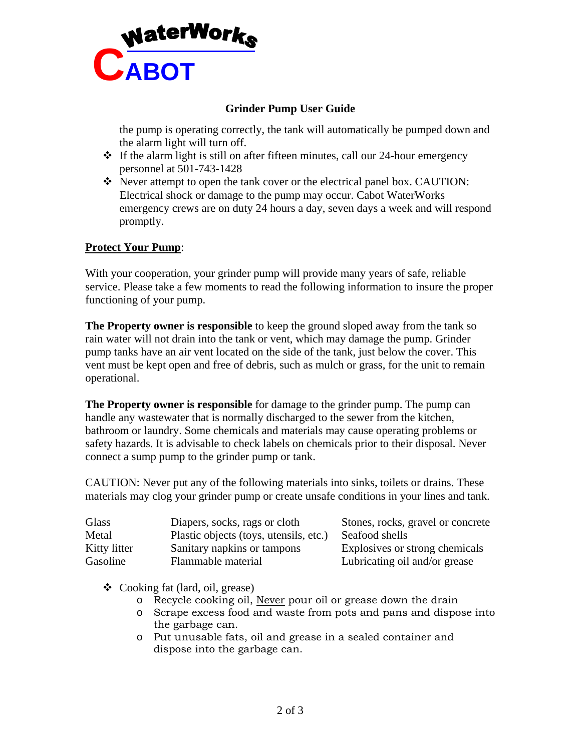

# **Grinder Pump User Guide**

the pump is operating correctly, the tank will automatically be pumped down and the alarm light will turn off.

- $\cdot \cdot$  If the alarm light is still on after fifteen minutes, call our 24-hour emergency personnel at 501-743-1428
- Never attempt to open the tank cover or the electrical panel box. CAUTION: Electrical shock or damage to the pump may occur. Cabot WaterWorks emergency crews are on duty 24 hours a day, seven days a week and will respond promptly.

#### **Protect Your Pump**:

With your cooperation, your grinder pump will provide many years of safe, reliable service. Please take a few moments to read the following information to insure the proper functioning of your pump.

**The Property owner is responsible** to keep the ground sloped away from the tank so rain water will not drain into the tank or vent, which may damage the pump. Grinder pump tanks have an air vent located on the side of the tank, just below the cover. This vent must be kept open and free of debris, such as mulch or grass, for the unit to remain operational.

**The Property owner is responsible** for damage to the grinder pump. The pump can handle any wastewater that is normally discharged to the sewer from the kitchen, bathroom or laundry. Some chemicals and materials may cause operating problems or safety hazards. It is advisable to check labels on chemicals prior to their disposal. Never connect a sump pump to the grinder pump or tank.

CAUTION: Never put any of the following materials into sinks, toilets or drains. These materials may clog your grinder pump or create unsafe conditions in your lines and tank.

| Glass        | Diapers, socks, rags or cloth          | Stones, rocks, gravel or concrete |
|--------------|----------------------------------------|-----------------------------------|
| Metal        | Plastic objects (toys, utensils, etc.) | Seafood shells                    |
| Kitty litter | Sanitary napkins or tampons            | Explosives or strong chemicals    |
| Gasoline     | Flammable material                     | Lubricating oil and/or grease     |

Cooking fat (lard, oil, grease)

- o Recycle cooking oil, Never pour oil or grease down the drain
- o Scrape excess food and waste from pots and pans and dispose into the garbage can.
- o Put unusable fats, oil and grease in a sealed container and dispose into the garbage can.